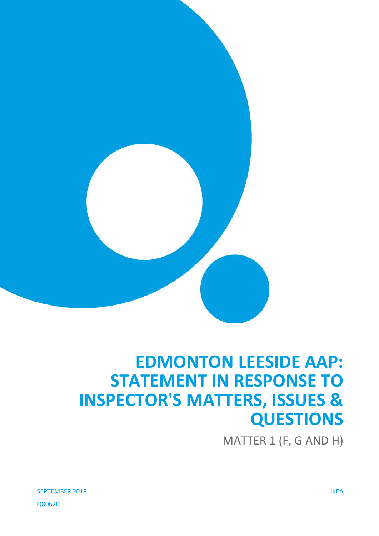

# **EDMONTON LEESIDE AAP: STATEMENT IN RESPONSE TO INSPECTOR'S MATTERS, ISSUES & QUESTIONS**

MATTER 1 (F, G AND H)

SEPTEMBER 2018 IKEA Q80620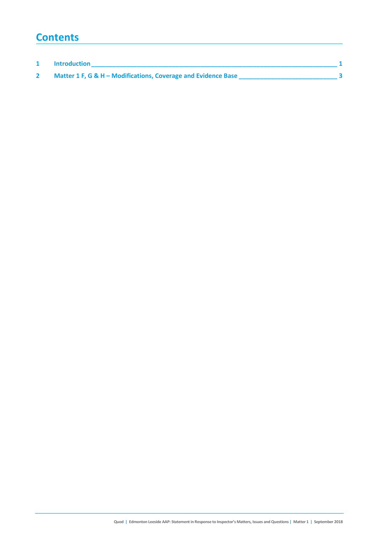# **Contents**

| <b>Introduction</b>                                           |  |
|---------------------------------------------------------------|--|
| Matter 1 F, G & H - Modifications, Coverage and Evidence Base |  |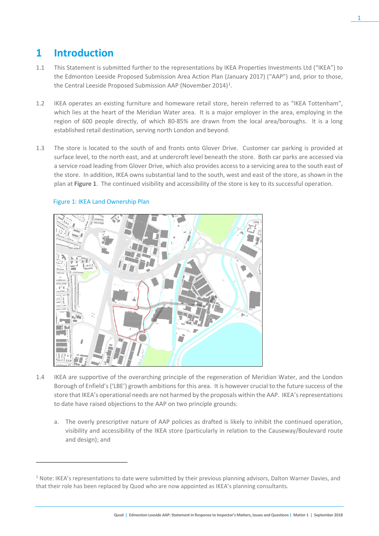# **1 Introduction**

- 1.1 This Statement is submitted further to the representations by IKEA Properties Investments Ltd ("IKEA") to the Edmonton Leeside Proposed Submission Area Action Plan (January 2017) ("AAP") and, prior to those, the Central Leeside Proposed Submission AAP (November 20[1](#page-2-0)4)<sup>1</sup>.
- 1.2 IKEA operates an existing furniture and homeware retail store, herein referred to as "IKEA Tottenham", which lies at the heart of the Meridian Water area. It is a major employer in the area, employing in the region of 600 people directly, of which 80-85% are drawn from the local area/boroughs. It is a long established retail destination, serving north London and beyond.
- 1.3 The store is located to the south of and fronts onto Glover Drive. Customer car parking is provided at surface level, to the north east, and at undercroft level beneath the store. Both car parks are accessed via a service road leading from Glover Drive, which also provides access to a servicing area to the south east of the store. In addition, IKEA owns substantial land to the south, west and east of the store, as shown in the plan at **Figure 1**. The continued visibility and accessibility of the store is key to its successful operation.



### Figure 1: IKEA Land Ownership Plan

 $\overline{a}$ 

- 1.4 IKEA are supportive of the overarching principle of the regeneration of Meridian Water, and the London Borough of Enfield's ('LBE') growth ambitions for this area. It is however crucial to the future success of the store that IKEA's operational needs are not harmed by the proposals within the AAP. IKEA's representations to date have raised objections to the AAP on two principle grounds:
	- a. The overly prescriptive nature of AAP policies as drafted is likely to inhibit the continued operation, visibility and accessibility of the IKEA store (particularly in relation to the Causeway/Boulevard route and design); and

<span id="page-2-0"></span> $1$  Note: IKEA's representations to date were submitted by their previous planning advisors, Dalton Warner Davies, and that their role has been replaced by Quod who are now appointed as IKEA's planning consultants.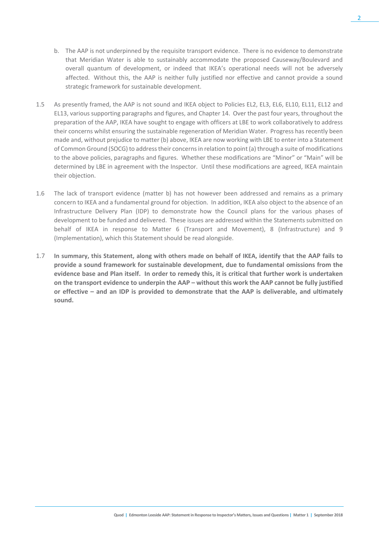- b. The AAP is not underpinned by the requisite transport evidence. There is no evidence to demonstrate that Meridian Water is able to sustainably accommodate the proposed Causeway/Boulevard and overall quantum of development, or indeed that IKEA's operational needs will not be adversely affected. Without this, the AAP is neither fully justified nor effective and cannot provide a sound strategic framework for sustainable development.
- 1.5 As presently framed, the AAP is not sound and IKEA object to Policies EL2, EL3, EL6, EL10, EL11, EL12 and EL13, various supporting paragraphs and figures, and Chapter 14. Over the past four years, throughout the preparation of the AAP, IKEA have sought to engage with officers at LBE to work collaboratively to address their concerns whilst ensuring the sustainable regeneration of Meridian Water. Progress has recently been made and, without prejudice to matter (b) above, IKEA are now working with LBE to enter into a Statement of Common Ground (SOCG) to address their concerns in relation to point (a) through a suite of modifications to the above policies, paragraphs and figures. Whether these modifications are "Minor" or "Main" will be determined by LBE in agreement with the Inspector. Until these modifications are agreed, IKEA maintain their objection.
- 1.6 The lack of transport evidence (matter b) has not however been addressed and remains as a primary concern to IKEA and a fundamental ground for objection. In addition, IKEA also object to the absence of an Infrastructure Delivery Plan (IDP) to demonstrate how the Council plans for the various phases of development to be funded and delivered. These issues are addressed within the Statements submitted on behalf of IKEA in response to Matter 6 (Transport and Movement), 8 (Infrastructure) and 9 (Implementation), which this Statement should be read alongside.
- 1.7 **In summary, this Statement, along with others made on behalf of IKEA, identify that the AAP fails to provide a sound framework for sustainable development, due to fundamental omissions from the evidence base and Plan itself. In order to remedy this, it is critical that further work is undertaken on the transport evidence to underpin the AAP – without this work the AAP cannot be fully justified or effective – and an IDP is provided to demonstrate that the AAP is deliverable, and ultimately sound.**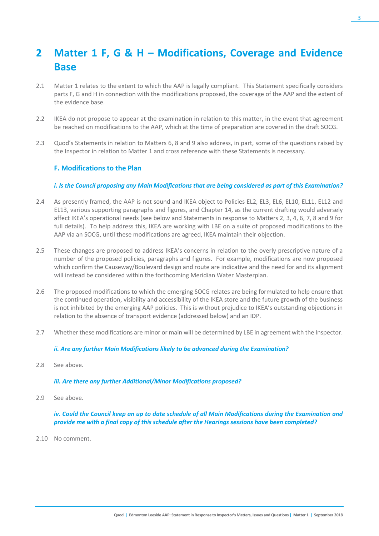# **2 Matter 1 F, G & H – Modifications, Coverage and Evidence Base**

- 2.1 Matter 1 relates to the extent to which the AAP is legally compliant. This Statement specifically considers parts F, G and H in connection with the modifications proposed, the coverage of the AAP and the extent of the evidence base.
- 2.2 IKEA do not propose to appear at the examination in relation to this matter, in the event that agreement be reached on modifications to the AAP, which at the time of preparation are covered in the draft SOCG.
- 2.3 Quod's Statements in relation to Matters 6, 8 and 9 also address, in part, some of the questions raised by the Inspector in relation to Matter 1 and cross reference with these Statements is necessary.

#### **F. Modifications to the Plan**

#### *i. Is the Council proposing any Main Modifications that are being considered as part of this Examination?*

- 2.4 As presently framed, the AAP is not sound and IKEA object to Policies EL2, EL3, EL6, EL10, EL11, EL12 and EL13, various supporting paragraphs and figures, and Chapter 14, as the current drafting would adversely affect IKEA's operational needs (see below and Statements in response to Matters 2, 3, 4, 6, 7, 8 and 9 for full details). To help address this, IKEA are working with LBE on a suite of proposed modifications to the AAP via an SOCG, until these modifications are agreed, IKEA maintain their objection.
- 2.5 These changes are proposed to address IKEA's concerns in relation to the overly prescriptive nature of a number of the proposed policies, paragraphs and figures. For example, modifications are now proposed which confirm the Causeway/Boulevard design and route are indicative and the need for and its alignment will instead be considered within the forthcoming Meridian Water Masterplan.
- 2.6 The proposed modifications to which the emerging SOCG relates are being formulated to help ensure that the continued operation, visibility and accessibility of the IKEA store and the future growth of the business is not inhibited by the emerging AAP policies. This is without prejudice to IKEA's outstanding objections in relation to the absence of transport evidence (addressed below) and an IDP.
- 2.7 Whether these modifications are minor or main will be determined by LBE in agreement with the Inspector.

#### *ii. Are any further Main Modifications likely to be advanced during the Examination?*

2.8 See above.

#### *iii. Are there any further Additional/Minor Modifications proposed?*

2.9 See above.

*iv. Could the Council keep an up to date schedule of all Main Modifications during the Examination and provide me with a final copy of this schedule after the Hearings sessions have been completed?*

2.10 No comment.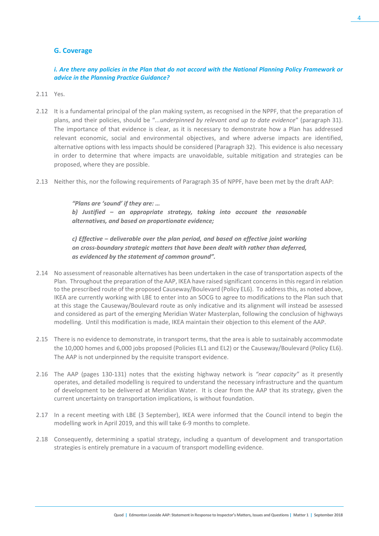## **G. Coverage**

### *i. Are there any policies in the Plan that do not accord with the National Planning Policy Framework or advice in the Planning Practice Guidance?*

- 2.11 Yes.
- 2.12 It is a fundamental principal of the plan making system, as recognised in the NPPF, that the preparation of plans, and their policies, should be "*...underpinned by relevant and up to date evidence*" (paragraph 31). The importance of that evidence is clear, as it is necessary to demonstrate how a Plan has addressed relevant economic, social and environmental objectives, and where adverse impacts are identified, alternative options with less impacts should be considered (Paragraph 32). This evidence is also necessary in order to determine that where impacts are unavoidable, suitable mitigation and strategies can be proposed, where they are possible.
- 2.13 Neither this, nor the following requirements of Paragraph 35 of NPPF, have been met by the draft AAP:

*"Plans are 'sound' if they are: … b) Justified – an appropriate strategy, taking into account the reasonable alternatives, and based on proportionate evidence;*

*c) Effective – deliverable over the plan period, and based on effective joint working on cross-boundary strategic matters that have been dealt with rather than deferred, as evidenced by the statement of common ground".*

- 2.14 No assessment of reasonable alternatives has been undertaken in the case of transportation aspects of the Plan. Throughout the preparation of the AAP, IKEA have raised significant concerns in this regard in relation to the prescribed route of the proposed Causeway/Boulevard (Policy EL6). To address this, as noted above, IKEA are currently working with LBE to enter into an SOCG to agree to modifications to the Plan such that at this stage the Causeway/Boulevard route as only indicative and its alignment will instead be assessed and considered as part of the emerging Meridian Water Masterplan, following the conclusion of highways modelling. Until this modification is made, IKEA maintain their objection to this element of the AAP.
- 2.15 There is no evidence to demonstrate, in transport terms, that the area is able to sustainably accommodate the 10,000 homes and 6,000 jobs proposed (Policies EL1 and EL2) or the Causeway/Boulevard (Policy EL6). The AAP is not underpinned by the requisite transport evidence.
- 2.16 The AAP (pages 130-131) notes that the existing highway network is *"near capacity"* as it presently operates, and detailed modelling is required to understand the necessary infrastructure and the quantum of development to be delivered at Meridian Water. It is clear from the AAP that its strategy, given the current uncertainty on transportation implications, is without foundation.
- 2.17 In a recent meeting with LBE (3 September), IKEA were informed that the Council intend to begin the modelling work in April 2019, and this will take 6-9 months to complete.
- 2.18 Consequently, determining a spatial strategy, including a quantum of development and transportation strategies is entirely premature in a vacuum of transport modelling evidence.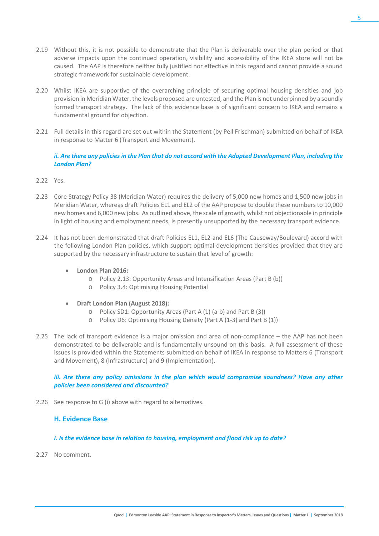5

- 2.19 Without this, it is not possible to demonstrate that the Plan is deliverable over the plan period or that adverse impacts upon the continued operation, visibility and accessibility of the IKEA store will not be caused. The AAP is therefore neither fully justified nor effective in this regard and cannot provide a sound strategic framework for sustainable development.
- 2.20 Whilst IKEA are supportive of the overarching principle of securing optimal housing densities and job provision in Meridian Water, the levels proposed are untested, and the Plan is not underpinned by a soundly formed transport strategy. The lack of this evidence base is of significant concern to IKEA and remains a fundamental ground for objection.
- 2.21 Full details in this regard are set out within the Statement (by Pell Frischman) submitted on behalf of IKEA in response to Matter 6 (Transport and Movement).

#### *ii. Are there any policies in the Plan that do not accord with the Adopted Development Plan, including the London Plan?*

- 2.22 Yes.
- 2.23 Core Strategy Policy 38 (Meridian Water) requires the delivery of 5,000 new homes and 1,500 new jobs in Meridian Water, whereas draft Policies EL1 and EL2 of the AAP propose to double these numbers to 10,000 new homes and 6,000 new jobs. As outlined above, the scale of growth, whilst not objectionable in principle in light of housing and employment needs, is presently unsupported by the necessary transport evidence.
- 2.24 It has not been demonstrated that draft Policies EL1, EL2 and EL6 (The Causeway/Boulevard) accord with the following London Plan policies, which support optimal development densities provided that they are supported by the necessary infrastructure to sustain that level of growth:
	- **London Plan 2016:**
		- o Policy 2.13: Opportunity Areas and Intensification Areas (Part B (b))
		- o Policy 3.4: Optimising Housing Potential
	- **Draft London Plan (August 2018):**
		- o Policy SD1: Opportunity Areas (Part A (1) (a-b) and Part B (3))
		- o Policy D6: Optimising Housing Density (Part A (1-3) and Part B (1))
- 2.25 The lack of transport evidence is a major omission and area of non-compliance the AAP has not been demonstrated to be deliverable and is fundamentally unsound on this basis. A full assessment of these issues is provided within the Statements submitted on behalf of IKEA in response to Matters 6 (Transport and Movement), 8 (Infrastructure) and 9 (Implementation).

#### iii. Are there any policy omissions in the plan which would compromise soundness? Have any other *policies been considered and discounted?*

2.26 See response to G (i) above with regard to alternatives.

### **H. Evidence Base**

#### *i. Is the evidence base in relation to housing, employment and flood risk up to date?*

2.27 No comment.